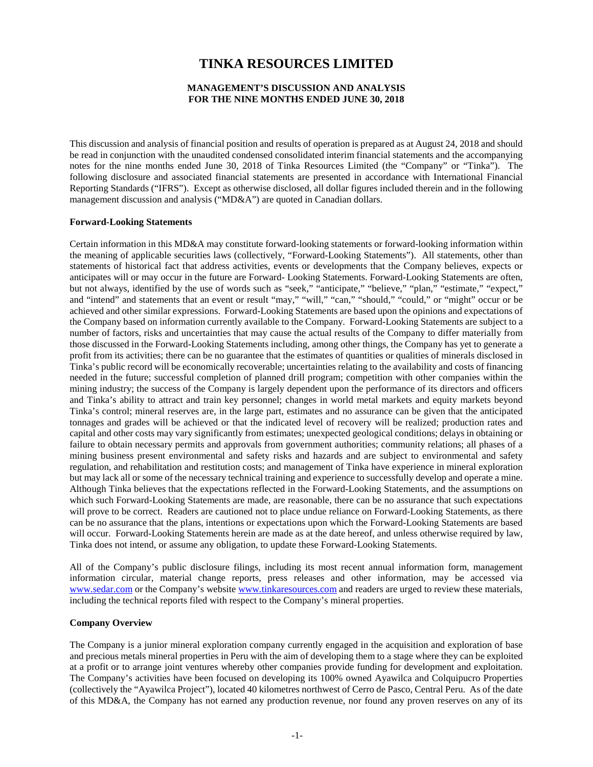## **TINKA RESOURCES LIMITED**

## **MANAGEMENT'S DISCUSSION AND ANALYSIS FOR THE NINE MONTHS ENDED JUNE 30, 2018**

This discussion and analysis of financial position and results of operation is prepared as at August 24, 2018 and should be read in conjunction with the unaudited condensed consolidated interim financial statements and the accompanying notes for the nine months ended June 30, 2018 of Tinka Resources Limited (the "Company" or "Tinka"). The following disclosure and associated financial statements are presented in accordance with International Financial Reporting Standards ("IFRS"). Except as otherwise disclosed, all dollar figures included therein and in the following management discussion and analysis ("MD&A") are quoted in Canadian dollars.

#### **Forward-Looking Statements**

Certain information in this MD&A may constitute forward-looking statements or forward-looking information within the meaning of applicable securities laws (collectively, "Forward-Looking Statements"). All statements, other than statements of historical fact that address activities, events or developments that the Company believes, expects or anticipates will or may occur in the future are Forward- Looking Statements. Forward-Looking Statements are often, but not always, identified by the use of words such as "seek," "anticipate," "believe," "plan," "estimate," "expect," and "intend" and statements that an event or result "may," "will," "can," "should," "could," or "might" occur or be achieved and other similar expressions. Forward-Looking Statements are based upon the opinions and expectations of the Company based on information currently available to the Company. Forward-Looking Statements are subject to a number of factors, risks and uncertainties that may cause the actual results of the Company to differ materially from those discussed in the Forward-Looking Statements including, among other things, the Company has yet to generate a profit from its activities; there can be no guarantee that the estimates of quantities or qualities of minerals disclosed in Tinka's public record will be economically recoverable; uncertainties relating to the availability and costs of financing needed in the future; successful completion of planned drill program; competition with other companies within the mining industry; the success of the Company is largely dependent upon the performance of its directors and officers and Tinka's ability to attract and train key personnel; changes in world metal markets and equity markets beyond Tinka's control; mineral reserves are, in the large part, estimates and no assurance can be given that the anticipated tonnages and grades will be achieved or that the indicated level of recovery will be realized; production rates and capital and other costs may vary significantly from estimates; unexpected geological conditions; delays in obtaining or failure to obtain necessary permits and approvals from government authorities; community relations; all phases of a mining business present environmental and safety risks and hazards and are subject to environmental and safety regulation, and rehabilitation and restitution costs; and management of Tinka have experience in mineral exploration but may lack all or some of the necessary technical training and experience to successfully develop and operate a mine. Although Tinka believes that the expectations reflected in the Forward-Looking Statements, and the assumptions on which such Forward-Looking Statements are made, are reasonable, there can be no assurance that such expectations will prove to be correct. Readers are cautioned not to place undue reliance on Forward-Looking Statements, as there can be no assurance that the plans, intentions or expectations upon which the Forward-Looking Statements are based will occur. Forward-Looking Statements herein are made as at the date hereof, and unless otherwise required by law, Tinka does not intend, or assume any obligation, to update these Forward-Looking Statements.

All of the Company's public disclosure filings, including its most recent annual information form, management information circular, material change reports, press releases and other information, may be accessed via [www.sedar.com](http://www.sedar.com/) or the Company's website [www.tinkaresources.com](http://www.tinkaresources.com/) and readers are urged to review these materials, including the technical reports filed with respect to the Company's mineral properties.

#### **Company Overview**

The Company is a junior mineral exploration company currently engaged in the acquisition and exploration of base and precious metals mineral properties in Peru with the aim of developing them to a stage where they can be exploited at a profit or to arrange joint ventures whereby other companies provide funding for development and exploitation. The Company's activities have been focused on developing its 100% owned Ayawilca and Colquipucro Properties (collectively the "Ayawilca Project"), located 40 kilometres northwest of Cerro de Pasco, Central Peru. As of the date of this MD&A, the Company has not earned any production revenue, nor found any proven reserves on any of its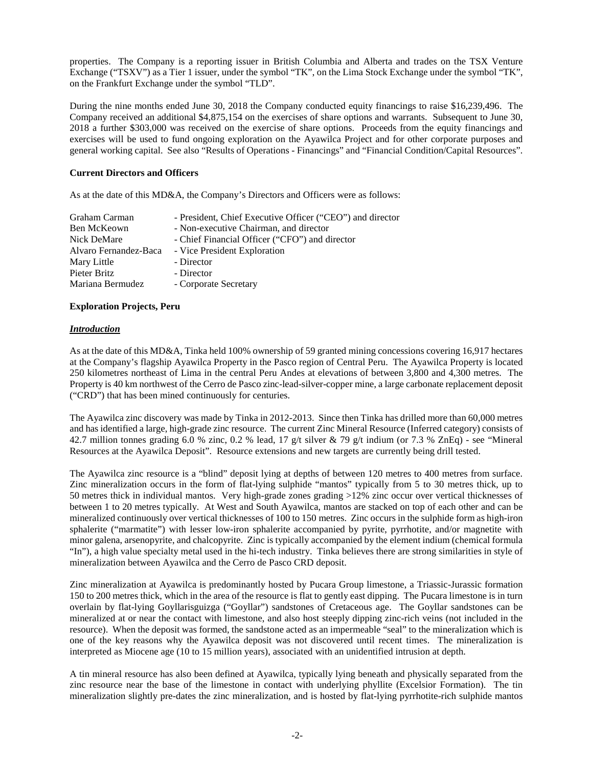properties. The Company is a reporting issuer in British Columbia and Alberta and trades on the TSX Venture Exchange ("TSXV") as a Tier 1 issuer, under the symbol "TK", on the Lima Stock Exchange under the symbol "TK", on the Frankfurt Exchange under the symbol "TLD".

During the nine months ended June 30, 2018 the Company conducted equity financings to raise \$16,239,496. The Company received an additional \$4,875,154 on the exercises of share options and warrants. Subsequent to June 30, 2018 a further \$303,000 was received on the exercise of share options. Proceeds from the equity financings and exercises will be used to fund ongoing exploration on the Ayawilca Project and for other corporate purposes and general working capital. See also "Results of Operations - Financings" and "Financial Condition/Capital Resources".

#### **Current Directors and Officers**

As at the date of this MD&A, the Company's Directors and Officers were as follows:

| Graham Carman         | - President, Chief Executive Officer ("CEO") and director |
|-----------------------|-----------------------------------------------------------|
| Ben McKeown           | - Non-executive Chairman, and director                    |
| Nick DeMare           | - Chief Financial Officer ("CFO") and director            |
| Alvaro Fernandez-Baca | - Vice President Exploration                              |
| Mary Little           | - Director                                                |
| Pieter Britz          | - Director                                                |
| Mariana Bermudez      | - Corporate Secretary                                     |

#### **Exploration Projects, Peru**

#### *Introduction*

As at the date of this MD&A, Tinka held 100% ownership of 59 granted mining concessions covering 16,917 hectares at the Company's flagship Ayawilca Property in the Pasco region of Central Peru. The Ayawilca Property is located 250 kilometres northeast of Lima in the central Peru Andes at elevations of between 3,800 and 4,300 metres. The Property is 40 km northwest of the Cerro de Pasco zinc-lead-silver-copper mine, a large carbonate replacement deposit ("CRD") that has been mined continuously for centuries.

The Ayawilca zinc discovery was made by Tinka in 2012-2013. Since then Tinka has drilled more than 60,000 metres and has identified a large, high-grade zinc resource. The current Zinc Mineral Resource (Inferred category) consists of 42.7 million tonnes grading 6.0 % zinc, 0.2 % lead, 17 g/t silver & 79 g/t indium (or 7.3 % ZnEq) - see "Mineral Resources at the Ayawilca Deposit". Resource extensions and new targets are currently being drill tested.

The Ayawilca zinc resource is a "blind" deposit lying at depths of between 120 metres to 400 metres from surface. Zinc mineralization occurs in the form of flat-lying sulphide "mantos" typically from 5 to 30 metres thick, up to 50 metres thick in individual mantos. Very high-grade zones grading >12% zinc occur over vertical thicknesses of between 1 to 20 metres typically. At West and South Ayawilca, mantos are stacked on top of each other and can be mineralized continuously over vertical thicknesses of 100 to 150 metres. Zinc occurs in the sulphide form as high-iron sphalerite ("marmatite") with lesser low-iron sphalerite accompanied by pyrite, pyrrhotite, and/or magnetite with minor galena, arsenopyrite, and chalcopyrite. Zinc is typically accompanied by the element indium (chemical formula "In"), a high value specialty metal used in the hi-tech industry. Tinka believes there are strong similarities in style of mineralization between Ayawilca and the Cerro de Pasco CRD deposit.

Zinc mineralization at Ayawilca is predominantly hosted by Pucara Group limestone, a Triassic-Jurassic formation 150 to 200 metres thick, which in the area of the resource is flat to gently east dipping. The Pucara limestone is in turn overlain by flat-lying Goyllarisguizga ("Goyllar") sandstones of Cretaceous age. The Goyllar sandstones can be mineralized at or near the contact with limestone, and also host steeply dipping zinc-rich veins (not included in the resource). When the deposit was formed, the sandstone acted as an impermeable "seal" to the mineralization which is one of the key reasons why the Ayawilca deposit was not discovered until recent times. The mineralization is interpreted as Miocene age (10 to 15 million years), associated with an unidentified intrusion at depth.

A tin mineral resource has also been defined at Ayawilca, typically lying beneath and physically separated from the zinc resource near the base of the limestone in contact with underlying phyllite (Excelsior Formation). The tin mineralization slightly pre-dates the zinc mineralization, and is hosted by flat-lying pyrrhotite-rich sulphide mantos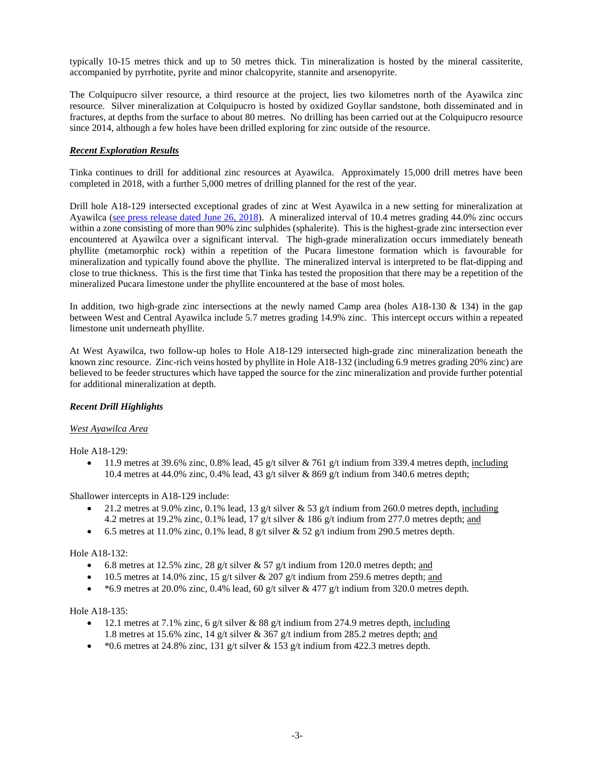typically 10-15 metres thick and up to 50 metres thick. Tin mineralization is hosted by the mineral cassiterite, accompanied by pyrrhotite, pyrite and minor chalcopyrite, stannite and arsenopyrite.

The Colquipucro silver resource, a third resource at the project, lies two kilometres north of the Ayawilca zinc resource. Silver mineralization at Colquipucro is hosted by oxidized Goyllar sandstone, both disseminated and in fractures, at depths from the surface to about 80 metres. No drilling has been carried out at the Colquipucro resource since 2014, although a few holes have been drilled exploring for zinc outside of the resource.

## *Recent Exploration Results*

Tinka continues to drill for additional zinc resources at Ayawilca. Approximately 15,000 drill metres have been completed in 2018, with a further 5,000 metres of drilling planned for the rest of the year.

Drill hole A18-129 intersected exceptional grades of zinc at West Ayawilca in a new setting for mineralization at Ayawilca [\(see press release dated June 26, 2018\)](https://www.tinkaresources.com/news/tinka-drills-10-4-metres-grading-44-0-zinc-in-new-discovery-of-exceptional-zinc-grade-at-ayawilca). A mineralized interval of 10.4 metres grading 44.0% zinc occurs within a zone consisting of more than 90% zinc sulphides (sphalerite). This is the highest-grade zinc intersection ever encountered at Ayawilca over a significant interval. The high-grade mineralization occurs immediately beneath phyllite (metamorphic rock) within a repetition of the Pucara limestone formation which is favourable for mineralization and typically found above the phyllite. The mineralized interval is interpreted to be flat-dipping and close to true thickness.This is the first time that Tinka has tested the proposition that there may be a repetition of the mineralized Pucara limestone under the phyllite encountered at the base of most holes.

In addition, two high-grade zinc intersections at the newly named Camp area (holes A18-130 & 134) in the gap between West and Central Ayawilca include 5.7 metres grading 14.9% zinc. This intercept occurs within a repeated limestone unit underneath phyllite.

At West Ayawilca, two follow-up holes to Hole A18-129 intersected high-grade zinc mineralization beneath the known zinc resource. Zinc-rich veins hosted by phyllite in Hole A18-132 (including 6.9 metres grading 20% zinc) are believed to be feeder structures which have tapped the source for the zinc mineralization and provide further potential for additional mineralization at depth.

## *Recent Drill Highlights*

## *West Ayawilca Area*

Hole A18-129:

• 11.9 metres at 39.6% zinc, 0.8% lead, 45 g/t silver & 761 g/t indium from 339.4 metres depth, including 10.4 metres at 44.0% zinc, 0.4% lead, 43 g/t silver & 869 g/t indium from 340.6 metres depth;

Shallower intercepts in A18-129 include:

- 21.2 metres at 9.0% zinc, 0.1% lead, 13 g/t silver & 53 g/t indium from 260.0 metres depth, including 4.2 metres at 19.2% zinc, 0.1% lead, 17 g/t silver & 186 g/t indium from 277.0 metres depth; and
- 6.5 metres at 11.0% zinc, 0.1% lead, 8 g/t silver & 52 g/t indium from 290.5 metres depth.

Hole A18-132:

- 6.8 metres at 12.5% zinc, 28 g/t silver  $& 57$  g/t indium from 120.0 metres depth; and
- 10.5 metres at 14.0% zinc, 15 g/t silver  $\&$  207 g/t indium from 259.6 metres depth; and
- \*6.9 metres at 20.0% zinc, 0.4% lead, 60 g/t silver & 477 g/t indium from 320.0 metres depth.

Hole A18-135:

- 12.1 metres at 7.1% zinc, 6 g/t silver & 88 g/t indium from 274.9 metres depth, including 1.8 metres at 15.6% zinc, 14 g/t silver & 367 g/t indium from 285.2 metres depth; and
- \*0.6 metres at 24.8% zinc, 131 g/t silver & 153 g/t indium from 422.3 metres depth.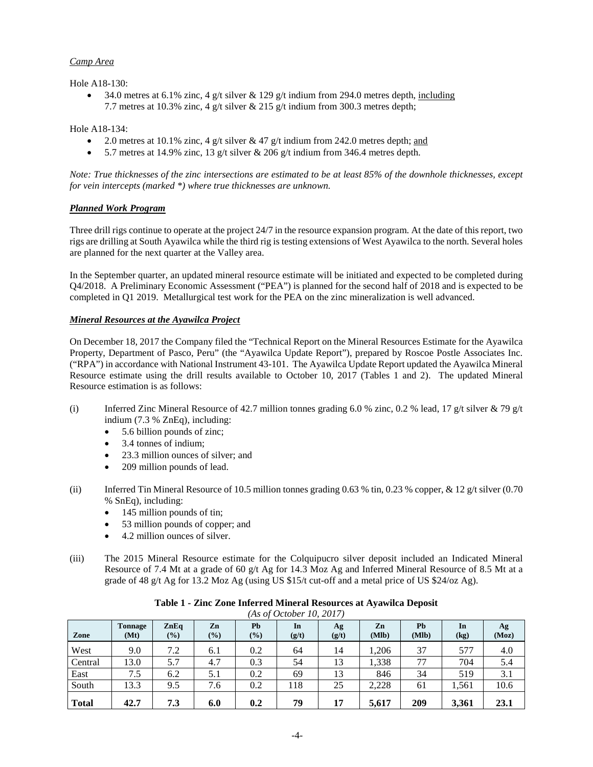## *Camp Area*

Hole A18-130:

• 34.0 metres at 6.1% zinc, 4 g/t silver & 129 g/t indium from 294.0 metres depth, including 7.7 metres at 10.3% zinc, 4 g/t silver & 215 g/t indium from 300.3 metres depth;

Hole A18-134:

- 2.0 metres at 10.1% zinc, 4 g/t silver & 47 g/t indium from 242.0 metres depth; and
- 5.7 metres at 14.9% zinc, 13 g/t silver & 206 g/t indium from 346.4 metres depth.

*Note: True thicknesses of the zinc intersections are estimated to be at least 85% of the downhole thicknesses, except for vein intercepts (marked \*) where true thicknesses are unknown.* 

## *Planned Work Program*

Three drill rigs continue to operate at the project 24/7 in the resource expansion program. At the date of this report, two rigs are drilling at South Ayawilca while the third rig is testing extensions of West Ayawilca to the north. Several holes are planned for the next quarter at the Valley area.

In the September quarter, an updated mineral resource estimate will be initiated and expected to be completed during Q4/2018. A Preliminary Economic Assessment ("PEA") is planned for the second half of 2018 and is expected to be completed in Q1 2019. Metallurgical test work for the PEA on the zinc mineralization is well advanced.

## *Mineral Resources at the Ayawilca Project*

On December 18, 2017 the Company filed the "Technical Report on the Mineral Resources Estimate for the Ayawilca Property, Department of Pasco, Peru" (the "Ayawilca Update Report"), prepared by Roscoe Postle Associates Inc. ("RPA") in accordance with National Instrument 43-101. The Ayawilca Update Report updated the Ayawilca Mineral Resource estimate using the drill results available to October 10, 2017 (Tables 1 and 2). The updated Mineral Resource estimation is as follows:

- (i) Inferred Zinc Mineral Resource of 42.7 million tonnes grading 6.0 % zinc, 0.2 % lead, 17 g/t silver & 79 g/t indium (7.3 % ZnEq), including:
	- 5.6 billion pounds of zinc;
	- 3.4 tonnes of indium;
	- 23.3 million ounces of silver; and
	- 209 million pounds of lead.
- (ii) Inferred Tin Mineral Resource of 10.5 million tonnes grading 0.63 % tin, 0.23 % copper, & 12 g/t silver (0.70) % SnEq), including:
	- 145 million pounds of tin;
	- 53 million pounds of copper; and
	- 4.2 million ounces of silver.
- (iii) The 2015 Mineral Resource estimate for the Colquipucro silver deposit included an Indicated Mineral Resource of 7.4 Mt at a grade of 60 g/t Ag for 14.3 Moz Ag and Inferred Mineral Resource of 8.5 Mt at a grade of 48 g/t Ag for 13.2 Moz Ag (using US \$15/t cut-off and a metal price of US \$24/oz Ag).

|              |                        |                |           |                     | (113 U OCIODET 10, 2017) |             |             |                    |            |             |
|--------------|------------------------|----------------|-----------|---------------------|--------------------------|-------------|-------------|--------------------|------------|-------------|
| Zone         | <b>Tonnage</b><br>(Mt) | ZnEq<br>$(\%)$ | Zn<br>(%) | <b>Pb</b><br>$(\%)$ | In<br>(g/t)              | Ag<br>(g/t) | Zn<br>(Mlb) | <b>Pb</b><br>(Mlb) | In<br>(kg) | Ag<br>(Moz) |
| West         | 9.0                    | 7.2            | 6.1       | 0.2                 | 64                       | 14          | .206        | 37                 | 577        | 4.0         |
| Central      | 13.0                   | 5.7            | 4.7       | 0.3                 | 54                       | 13          | .338        | 77                 | 704        | 5.4         |
| East         | 7.5                    | 6.2            | 5.1       | 0.2                 | 69                       | 13          | 846         | 34                 | 519        | 3.1         |
| South        | 13.3                   | 9.5            | 7.6       | 0.2                 | 118                      | 25          | 2,228       | 61                 | 1.561      | 10.6        |
| <b>Total</b> | 42.7                   | 7.3            | 6.0       | 0.2                 | 79                       | 17          | 5,617       | 209                | 3,361      | 23.1        |

**Table 1 - Zinc Zone Inferred Mineral Resources at Ayawilca Deposit**  *(As of October 10, 2017)*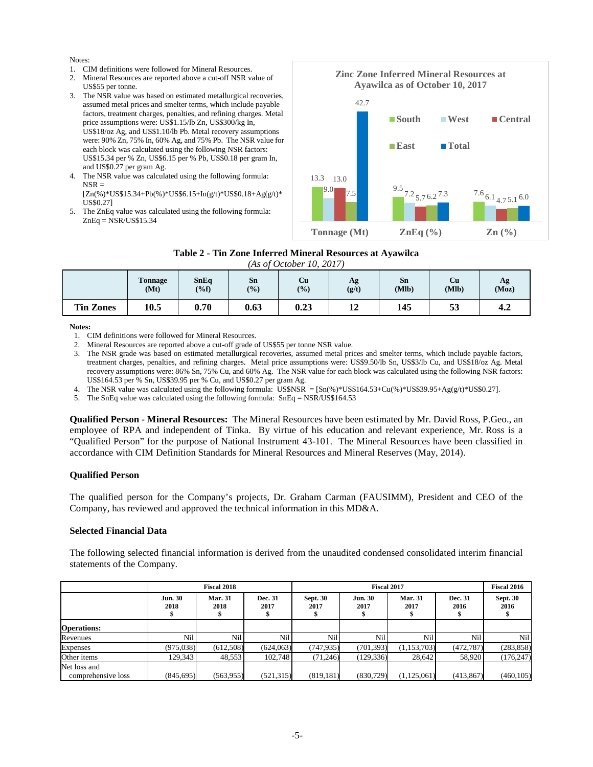Notes:

- 1. CIM definitions were followed for Mineral Resources.
- 2. Mineral Resources are reported above a cut-off NSR value of US\$55 per tonne.
- 3. The NSR value was based on estimated metallurgical recoveries, assumed metal prices and smelter terms, which include payable factors, treatment charges, penalties, and refining charges. Metal price assumptions were: US\$1.15/lb Zn, US\$300/kg In, US\$18/oz Ag, and US\$1.10/lb Pb. Metal recovery assumptions were: 90% Zn, 75% In, 60% Ag, and 75% Pb. The NSR value for each block was calculated using the following NSR factors: US\$15.34 per % Zn, US\$6.15 per % Pb, US\$0.18 per gram In, and US\$0.27 per gram Ag.
- 4. The NSR value was calculated using the following formula:  $NSR =$

 $[Zn(\%)^*US$15.34+Pb(\%)^*US$6.15+In(g/t)*USS0.18+Ag(g/t)*$ US\$0.27]

5. The ZnEq value was calculated using the following formula:  $ZnEq = \overline{NSR}/US$15.34$ 

13.3 13.0  $5 \quad 7.2_{5.76.2}$  7.3 7.5  $7.2$  5.7 6.2  $7.3$   $7.6$  6.1  $_{4.7}$  5.1 6.0 42.7 **Tonnage (Mt) ZnEq (%) Zn (%) Zinc Zone Inferred Mineral Resources at Ayawilca as of October 10, 2017 South West Central East Total**

# **Table 2 - Tin Zone Inferred Mineral Resources at Ayawilca**

| (As of October 10, 2017) |
|--------------------------|
|--------------------------|

|                  | <b>Tonnage</b> | <b>SnEq</b> | Sn            | <b>Cu</b> | Ag       | Sn    | Cu    | Ag    |
|------------------|----------------|-------------|---------------|-----------|----------|-------|-------|-------|
|                  | (Mt)           | $(\%f)$     | $\frac{1}{2}$ | $(\%)$    | (g/t)    | (Mlb) | (Mlb) | (Moz) |
| <b>Tin Zones</b> | 10.5           | 0.70        | 0.63          | 0.23      | 12<br>┸┵ | 145   | 53    | 4.2   |

**Notes:**

- 1. CIM definitions were followed for Mineral Resources.
- 2. Mineral Resources are reported above a cut-off grade of US\$55 per tonne NSR value.
- 3. The NSR grade was based on estimated metallurgical recoveries, assumed metal prices and smelter terms, which include payable factors, treatment charges, penalties, and refining charges. Metal price assumptions were: US\$9.50/lb Sn, US\$3/lb Cu, and US\$18/oz Ag. Metal recovery assumptions were: 86% Sn, 75% Cu, and 60% Ag. The NSR value for each block was calculated using the following NSR factors: US\$164.53 per % Sn, US\$39.95 per % Cu, and US\$0.27 per gram Ag.
- 4. The NSR value was calculated using the following formula:  $\overline{USSNSK} = [Sn(\%) * US$164.53 + Cu(\%) * USS39.95 + Ag(g/t)*US$0.27].$

5. The SnEq value was calculated using the following formula: SnEq = NSR/US\$164.53

**Qualified Person - Mineral Resources:** The Mineral Resources have been estimated by Mr. David Ross, P.Geo., an employee of RPA and independent of Tinka. By virtue of his education and relevant experience, Mr. Ross is a "Qualified Person" for the purpose of National Instrument 43-101. The Mineral Resources have been classified in accordance with CIM Definition Standards for Mineral Resources and Mineral Reserves (May, 2014).

## **Qualified Person**

The qualified person for the Company's projects, Dr. Graham Carman (FAUSIMM), President and CEO of the Company, has reviewed and approved the technical information in this MD&A.

## **Selected Financial Data**

The following selected financial information is derived from the unaudited condensed consolidated interim financial statements of the Company.

|                                    | <b>Fiscal 2018</b>     |                        |                 | Fiscal 2017             |                 |                        |                 | <b>Fiscal 2016</b>      |
|------------------------------------|------------------------|------------------------|-----------------|-------------------------|-----------------|------------------------|-----------------|-------------------------|
|                                    | <b>Jun. 30</b><br>2018 | <b>Mar. 31</b><br>2018 | Dec. 31<br>2017 | <b>Sept. 30</b><br>2017 | Jun. 30<br>2017 | <b>Mar. 31</b><br>2017 | Dec. 31<br>2016 | <b>Sept. 30</b><br>2016 |
| <b>Operations:</b>                 |                        |                        |                 |                         |                 |                        |                 |                         |
| Revenues                           | Nil                    | Nil                    | Nil             | Nil                     | Nil             | Nil                    | Nil I           | Nil                     |
| <b>Expenses</b>                    | (975.038)              | (612,508)              | (624,063)       | (747, 935)              | (701, 393)      | (1, 153, 703)          | (472, 787)      | (283, 858)              |
| Other items                        | 129.343                | 48,553                 | 102,748         | (71, 246)               | (129, 336)      | 28,642                 | 58,920          | (176, 247)              |
| Net loss and<br>comprehensive loss | (845, 695)             | (563,955)              | (521, 315)      | (819, 181)              | (830, 729)      | (1,125,061)            | (413,867)       | (460, 105)              |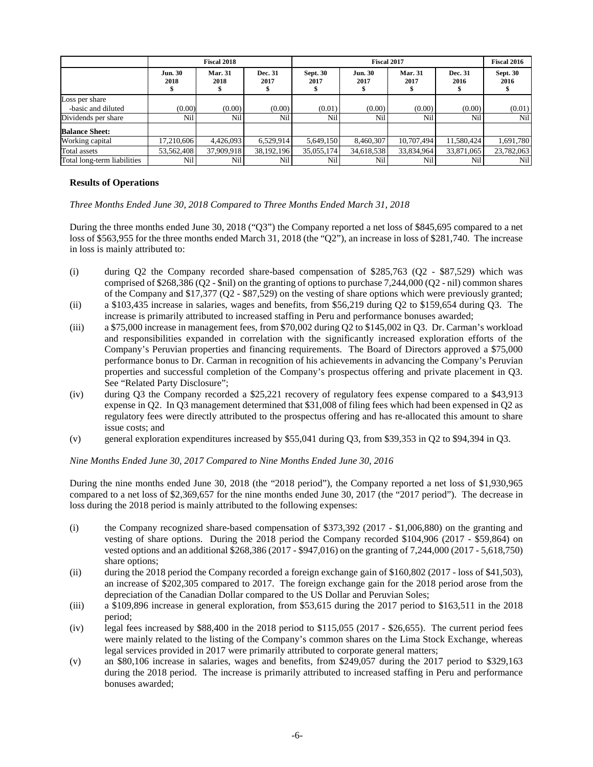|                             | Fiscal 2018            |                        |                  | <b>Fiscal 2017</b>      |                        |                        |                 | <b>Fiscal 2016</b>      |
|-----------------------------|------------------------|------------------------|------------------|-------------------------|------------------------|------------------------|-----------------|-------------------------|
|                             | <b>Jun. 30</b><br>2018 | <b>Mar. 31</b><br>2018 | Dec. 31<br>2017  | <b>Sept. 30</b><br>2017 | <b>Jun. 30</b><br>2017 | <b>Mar. 31</b><br>2017 | Dec. 31<br>2016 | <b>Sept. 30</b><br>2016 |
| Loss per share              |                        |                        |                  |                         |                        |                        |                 |                         |
| -basic and diluted          | (0.00)                 | (0.00)                 | (0.00)           | (0.01)                  | (0.00)                 | (0.00)                 | (0.00)          | (0.01)                  |
| Dividends per share         | Nil                    | Nil                    | Nil <sup>1</sup> | Nil                     | Nil                    | Nil                    | Nil             | Nil                     |
| <b>Balance Sheet:</b>       |                        |                        |                  |                         |                        |                        |                 |                         |
| Working capital             | 17,210,606             | 4,426,093              | 6,529,914        | 5,649,150               | 8,460,307              | 10,707,494             | 11,580,424      | 1,691,780               |
| Total assets                | 53,562,408             | 37,909,918             | 38,192,196       | 35,055,174              | 34,618,538             | 33,834,964             | 33,871,065      | 23,782,063              |
| Total long-term liabilities | Nil                    | Nil                    | Nil              | Nil                     | Nil                    | Nil                    | Nil             | Nil                     |

#### **Results of Operations**

*Three Months Ended June 30, 2018 Compared to Three Months Ended March 31, 2018*

During the three months ended June 30, 2018 ("Q3") the Company reported a net loss of \$845,695 compared to a net loss of \$563,955 for the three months ended March 31, 2018 (the "Q2"), an increase in loss of \$281,740. The increase in loss is mainly attributed to:

- (i) during Q2 the Company recorded share-based compensation of \$285,763 (Q2 \$87,529) which was comprised of \$268,386 (Q2 - \$nil) on the granting of options to purchase 7,244,000 (Q2 - nil) common shares of the Company and \$17,377 (Q2 - \$87,529) on the vesting of share options which were previously granted;
- (ii) a \$103,435 increase in salaries, wages and benefits, from \$56,219 during Q2 to \$159,654 during Q3. The increase is primarily attributed to increased staffing in Peru and performance bonuses awarded;
- (iii) a \$75,000 increase in management fees, from \$70,002 during Q2 to \$145,002 in Q3. Dr. Carman's workload and responsibilities expanded in correlation with the significantly increased exploration efforts of the Company's Peruvian properties and financing requirements. The Board of Directors approved a \$75,000 performance bonus to Dr. Carman in recognition of his achievements in advancing the Company's Peruvian properties and successful completion of the Company's prospectus offering and private placement in Q3. See "Related Party Disclosure";
- (iv) during Q3 the Company recorded a \$25,221 recovery of regulatory fees expense compared to a \$43,913 expense in Q2. In Q3 management determined that \$31,008 of filing fees which had been expensed in Q2 as regulatory fees were directly attributed to the prospectus offering and has re-allocated this amount to share issue costs; and
- (v) general exploration expenditures increased by \$55,041 during Q3, from \$39,353 in Q2 to \$94,394 in Q3.

*Nine Months Ended June 30, 2017 Compared to Nine Months Ended June 30, 2016*

During the nine months ended June 30, 2018 (the "2018 period"), the Company reported a net loss of \$1,930,965 compared to a net loss of \$2,369,657 for the nine months ended June 30, 2017 (the "2017 period"). The decrease in loss during the 2018 period is mainly attributed to the following expenses:

- (i) the Company recognized share-based compensation of \$373,392 (2017 \$1,006,880) on the granting and vesting of share options. During the 2018 period the Company recorded \$104,906 (2017 - \$59,864) on vested options and an additional \$268,386 (2017 - \$947,016) on the granting of 7,244,000 (2017 - 5,618,750) share options;
- (ii) during the 2018 period the Company recorded a foreign exchange gain of \$160,802 (2017 loss of \$41,503), an increase of \$202,305 compared to 2017. The foreign exchange gain for the 2018 period arose from the depreciation of the Canadian Dollar compared to the US Dollar and Peruvian Soles;
- (iii) a \$109,896 increase in general exploration, from \$53,615 during the 2017 period to \$163,511 in the 2018 period;
- (iv) legal fees increased by \$88,400 in the 2018 period to \$115,055 (2017 \$26,655). The current period fees were mainly related to the listing of the Company's common shares on the Lima Stock Exchange, whereas legal services provided in 2017 were primarily attributed to corporate general matters;
- (v) an \$80,106 increase in salaries, wages and benefits, from \$249,057 during the 2017 period to \$329,163 during the 2018 period. The increase is primarily attributed to increased staffing in Peru and performance bonuses awarded;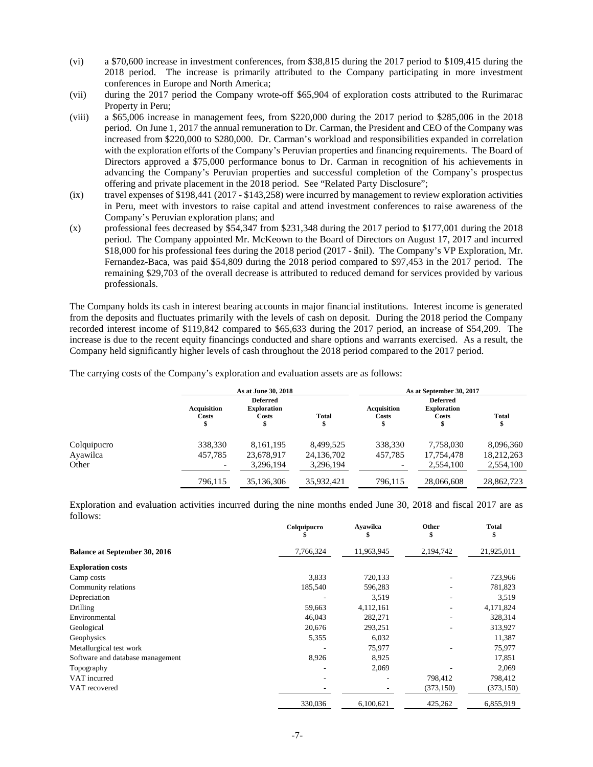- (vi) a \$70,600 increase in investment conferences, from \$38,815 during the 2017 period to \$109,415 during the 2018 period. The increase is primarily attributed to the Company participating in more investment conferences in Europe and North America;
- (vii) during the 2017 period the Company wrote-off \$65,904 of exploration costs attributed to the Rurimarac Property in Peru;
- (viii) a \$65,006 increase in management fees, from \$220,000 during the 2017 period to \$285,006 in the 2018 period. On June 1, 2017 the annual remuneration to Dr. Carman, the President and CEO of the Company was increased from \$220,000 to \$280,000. Dr. Carman's workload and responsibilities expanded in correlation with the exploration efforts of the Company's Peruvian properties and financing requirements. The Board of Directors approved a \$75,000 performance bonus to Dr. Carman in recognition of his achievements in advancing the Company's Peruvian properties and successful completion of the Company's prospectus offering and private placement in the 2018 period. See "Related Party Disclosure";
- (ix) travel expenses of \$198,441 (2017 \$143,258) were incurred by management to review exploration activities in Peru, meet with investors to raise capital and attend investment conferences to raise awareness of the Company's Peruvian exploration plans; and
- (x) professional fees decreased by \$54,347 from \$231,348 during the 2017 period to \$177,001 during the 2018 period. The Company appointed Mr. McKeown to the Board of Directors on August 17, 2017 and incurred \$18,000 for his professional fees during the 2018 period (2017 - \$nil). The Company's VP Exploration, Mr. Fernandez-Baca, was paid \$54,809 during the 2018 period compared to \$97,453 in the 2017 period. The remaining \$29,703 of the overall decrease is attributed to reduced demand for services provided by various professionals.

The Company holds its cash in interest bearing accounts in major financial institutions. Interest income is generated from the deposits and fluctuates primarily with the levels of cash on deposit. During the 2018 period the Company recorded interest income of \$119,842 compared to \$65,633 during the 2017 period, an increase of \$54,209. The increase is due to the recent equity financings conducted and share options and warrants exercised. As a result, the Company held significantly higher levels of cash throughout the 2018 period compared to the 2017 period.

The carrying costs of the Company's exploration and evaluation assets are as follows:

|             |                                   | As at June 30, 2018                                  |              | As at September 30, 2017 |                                                       |                    |  |
|-------------|-----------------------------------|------------------------------------------------------|--------------|--------------------------|-------------------------------------------------------|--------------------|--|
|             | <b>Acquisition</b><br>Costs<br>\$ | <b>Deferred</b><br><b>Exploration</b><br>Costs<br>\$ | Total        | Acquisition<br>Costs     | <b>Deferred</b><br><b>Exploration</b><br><b>Costs</b> | <b>Total</b><br>\$ |  |
| Colquipucro | 338,330                           | 8.161.195                                            | 8.499.525    | 338,330                  | 7,758,030                                             | 8,096,360          |  |
| Ayawilca    | 457.785                           | 23,678,917                                           | 24, 136, 702 | 457,785                  | 17,754,478                                            | 18,212,263         |  |
| Other       |                                   | 3.296.194                                            | 3,296,194    | $\overline{\phantom{a}}$ | 2,554,100                                             | 2,554,100          |  |
|             | 796.115                           | 35,136,306                                           | 35.932.421   | 796,115                  | 28,066,608                                            | 28,862,723         |  |

Exploration and evaluation activities incurred during the nine months ended June 30, 2018 and fiscal 2017 are as follows:

|                                      | Colquipucro | Ayawilca   | Other      | Total<br>\$ |
|--------------------------------------|-------------|------------|------------|-------------|
| <b>Balance at September 30, 2016</b> | 7,766,324   | 11,963,945 | 2,194,742  | 21,925,011  |
| <b>Exploration costs</b>             |             |            |            |             |
| Camp costs                           | 3,833       | 720,133    |            | 723,966     |
| Community relations                  | 185,540     | 596,283    |            | 781,823     |
| Depreciation                         |             | 3,519      |            | 3,519       |
| <b>Drilling</b>                      | 59,663      | 4,112,161  |            | 4,171,824   |
| Environmental                        | 46,043      | 282,271    |            | 328,314     |
| Geological                           | 20,676      | 293,251    |            | 313,927     |
| Geophysics                           | 5,355       | 6,032      |            | 11,387      |
| Metallurgical test work              |             | 75,977     |            | 75,977      |
| Software and database management     | 8,926       | 8,925      |            | 17,851      |
| Topography                           |             | 2,069      |            | 2,069       |
| VAT incurred                         |             |            | 798,412    | 798,412     |
| VAT recovered                        |             |            | (373, 150) | (373, 150)  |
|                                      | 330,036     | 6,100,621  | 425,262    | 6,855,919   |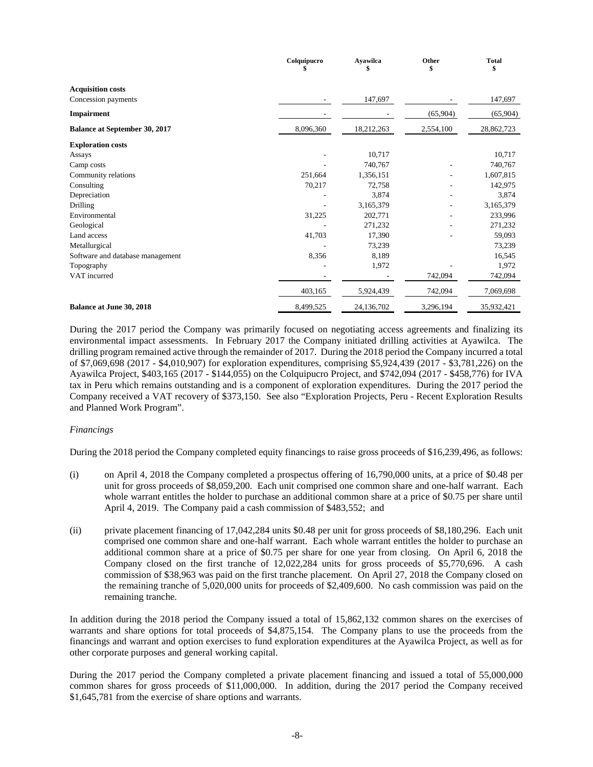|                                      | Colquipucro | <b>Ayawilca</b> | Other     | <b>Total</b><br>\$ |
|--------------------------------------|-------------|-----------------|-----------|--------------------|
| <b>Acquisition costs</b>             |             |                 |           |                    |
| Concession payments                  |             | 147,697         |           | 147,697            |
| <b>Impairment</b>                    |             |                 | (65,904)  | (65,904)           |
| <b>Balance at September 30, 2017</b> | 8,096,360   | 18,212,263      | 2,554,100 | 28,862,723         |
| <b>Exploration costs</b>             |             |                 |           |                    |
| Assays                               |             | 10,717          |           | 10,717             |
| Camp costs                           |             | 740,767         |           | 740,767            |
| Community relations                  | 251,664     | 1,356,151       |           | 1,607,815          |
| Consulting                           | 70,217      | 72,758          |           | 142,975            |
| Depreciation                         |             | 3,874           |           | 3,874              |
| Drilling                             |             | 3,165,379       |           | 3,165,379          |
| Environmental                        | 31,225      | 202,771         |           | 233,996            |
| Geological                           |             | 271,232         |           | 271,232            |
| Land access                          | 41,703      | 17,390          |           | 59,093             |
| Metallurgical                        |             | 73,239          |           | 73,239             |
| Software and database management     | 8,356       | 8,189           |           | 16,545             |
| Topography                           |             | 1,972           |           | 1,972              |
| VAT incurred                         |             |                 | 742,094   | 742,094            |
|                                      | 403,165     | 5,924,439       | 742,094   | 7,069,698          |
| <b>Balance at June 30, 2018</b>      | 8,499,525   | 24,136,702      | 3,296,194 | 35,932,421         |

During the 2017 period the Company was primarily focused on negotiating access agreements and finalizing its environmental impact assessments. In February 2017 the Company initiated drilling activities at Ayawilca. The drilling program remained active through the remainder of 2017. During the 2018 period the Company incurred a total of \$7,069,698 (2017 - \$4,010,907) for exploration expenditures, comprising \$5,924,439 (2017 - \$3,781,226) on the Ayawilca Project, \$403,165 (2017 - \$144,055) on the Colquipucro Project, and \$742,094 (2017 - \$458,776) for IVA tax in Peru which remains outstanding and is a component of exploration expenditures. During the 2017 period the Company received a VAT recovery of \$373,150. See also "Exploration Projects, Peru - Recent Exploration Results and Planned Work Program".

## *Financings*

During the 2018 period the Company completed equity financings to raise gross proceeds of \$16,239,496, as follows:

- (i) on April 4, 2018 the Company completed a prospectus offering of 16,790,000 units, at a price of \$0.48 per unit for gross proceeds of \$8,059,200. Each unit comprised one common share and one-half warrant. Each whole warrant entitles the holder to purchase an additional common share at a price of \$0.75 per share until April 4, 2019. The Company paid a cash commission of \$483,552; and
- (ii) private placement financing of 17,042,284 units \$0.48 per unit for gross proceeds of \$8,180,296. Each unit comprised one common share and one-half warrant. Each whole warrant entitles the holder to purchase an additional common share at a price of \$0.75 per share for one year from closing. On April 6, 2018 the Company closed on the first tranche of 12,022,284 units for gross proceeds of \$5,770,696. A cash commission of \$38,963 was paid on the first tranche placement. On April 27, 2018 the Company closed on the remaining tranche of 5,020,000 units for proceeds of \$2,409,600. No cash commission was paid on the remaining tranche.

In addition during the 2018 period the Company issued a total of 15,862,132 common shares on the exercises of warrants and share options for total proceeds of \$4,875,154. The Company plans to use the proceeds from the financings and warrant and option exercises to fund exploration expenditures at the Ayawilca Project, as well as for other corporate purposes and general working capital.

During the 2017 period the Company completed a private placement financing and issued a total of 55,000,000 common shares for gross proceeds of \$11,000,000. In addition, during the 2017 period the Company received \$1,645,781 from the exercise of share options and warrants.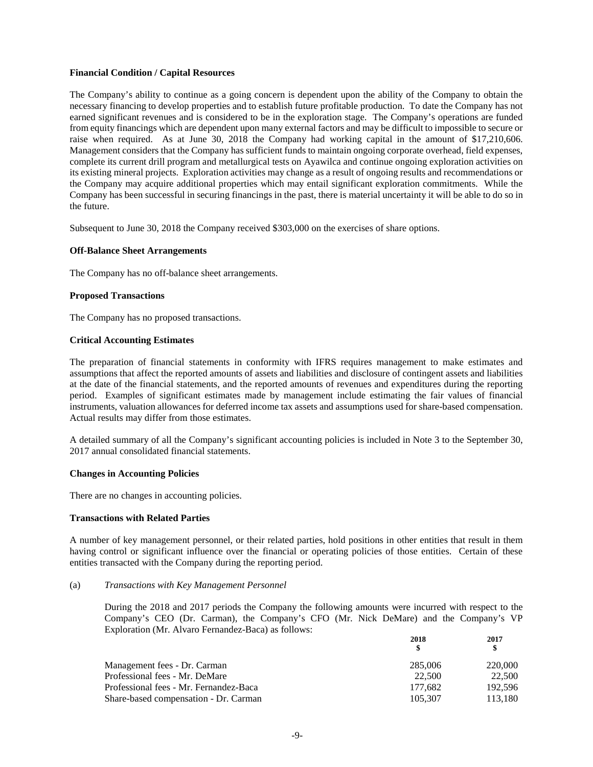#### **Financial Condition / Capital Resources**

The Company's ability to continue as a going concern is dependent upon the ability of the Company to obtain the necessary financing to develop properties and to establish future profitable production. To date the Company has not earned significant revenues and is considered to be in the exploration stage. The Company's operations are funded from equity financings which are dependent upon many external factors and may be difficult to impossible to secure or raise when required. As at June 30, 2018 the Company had working capital in the amount of \$17,210,606. Management considers that the Company has sufficient funds to maintain ongoing corporate overhead, field expenses, complete its current drill program and metallurgical tests on Ayawilca and continue ongoing exploration activities on its existing mineral projects. Exploration activities may change as a result of ongoing results and recommendations or the Company may acquire additional properties which may entail significant exploration commitments. While the Company has been successful in securing financings in the past, there is material uncertainty it will be able to do so in the future.

Subsequent to June 30, 2018 the Company received \$303,000 on the exercises of share options.

#### **Off-Balance Sheet Arrangements**

The Company has no off-balance sheet arrangements.

#### **Proposed Transactions**

The Company has no proposed transactions.

#### **Critical Accounting Estimates**

The preparation of financial statements in conformity with IFRS requires management to make estimates and assumptions that affect the reported amounts of assets and liabilities and disclosure of contingent assets and liabilities at the date of the financial statements, and the reported amounts of revenues and expenditures during the reporting period. Examples of significant estimates made by management include estimating the fair values of financial instruments, valuation allowances for deferred income tax assets and assumptions used for share-based compensation. Actual results may differ from those estimates.

A detailed summary of all the Company's significant accounting policies is included in Note 3 to the September 30, 2017 annual consolidated financial statements.

#### **Changes in Accounting Policies**

There are no changes in accounting policies.

#### **Transactions with Related Parties**

A number of key management personnel, or their related parties, hold positions in other entities that result in them having control or significant influence over the financial or operating policies of those entities. Certain of these entities transacted with the Company during the reporting period.

#### (a) *Transactions with Key Management Personnel*

During the 2018 and 2017 periods the Company the following amounts were incurred with respect to the Company's CEO (Dr. Carman), the Company's CFO (Mr. Nick DeMare) and the Company's VP Exploration (Mr. Alvaro Fernandez-Baca) as follows:

|                                        | 2018    | 2017    |
|----------------------------------------|---------|---------|
| Management fees - Dr. Carman           | 285,006 | 220,000 |
| Professional fees - Mr. DeMare         | 22,500  | 22,500  |
| Professional fees - Mr. Fernandez-Baca | 177.682 | 192.596 |
| Share-based compensation - Dr. Carman  | 105.307 | 113,180 |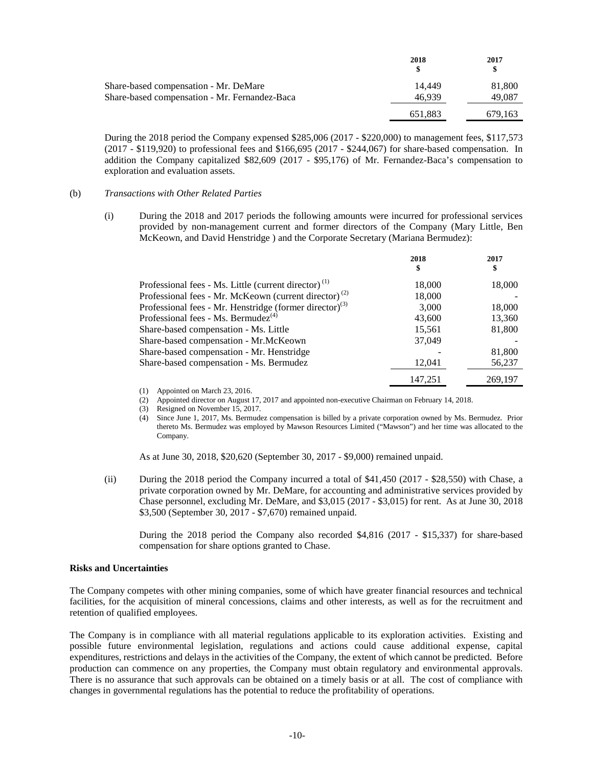|                                               | 2018<br>S | 2017<br>S |
|-----------------------------------------------|-----------|-----------|
| Share-based compensation - Mr. DeMare         | 14.449    | 81,800    |
| Share-based compensation - Mr. Fernandez-Baca | 46.939    | 49,087    |
|                                               | 651.883   | 679.163   |

During the 2018 period the Company expensed \$285,006 (2017 - \$220,000) to management fees, \$117,573 (2017 - \$119,920) to professional fees and \$166,695 (2017 - \$244,067) for share-based compensation. In addition the Company capitalized \$82,609 (2017 - \$95,176) of Mr. Fernandez-Baca's compensation to exploration and evaluation assets.

#### (b) *Transactions with Other Related Parties*

(i) During the 2018 and 2017 periods the following amounts were incurred for professional services provided by non-management current and former directors of the Company (Mary Little, Ben McKeown, and David Henstridge ) and the Corporate Secretary (Mariana Bermudez):

|                                                                     | 2018<br>\$ | 20 F Z<br>\$ |
|---------------------------------------------------------------------|------------|--------------|
| Professional fees - Ms. Little (current director) <sup>(1)</sup>    | 18,000     | 18,000       |
| Professional fees - Mr. McKeown (current director) <sup>(2)</sup>   | 18,000     |              |
| Professional fees - Mr. Henstridge (former director) <sup>(3)</sup> | 3,000      | 18,000       |
| Professional fees - Ms. Bermudez <sup><math>(4)</math></sup>        | 43,600     | 13,360       |
| Share-based compensation - Ms. Little                               | 15,561     | 81,800       |
| Share-based compensation - Mr.McKeown                               | 37,049     |              |
| Share-based compensation - Mr. Henstridge                           |            | 81,800       |
| Share-based compensation - Ms. Bermudez                             | 12,041     | 56,237       |
|                                                                     | 147,251    | 269,197      |

**2018**

**2017**

(1) Appointed on March 23, 2016.

(2) Appointed director on August 17, 2017 and appointed non-executive Chairman on February 14, 2018.

(3) Resigned on November 15, 2017.

(4) Since June 1, 2017, Ms. Bermudez compensation is billed by a private corporation owned by Ms. Bermudez. Prior thereto Ms. Bermudez was employed by Mawson Resources Limited ("Mawson") and her time was allocated to the Company.

As at June 30, 2018, \$20,620 (September 30, 2017 - \$9,000) remained unpaid.

(ii) During the 2018 period the Company incurred a total of \$41,450 (2017 - \$28,550) with Chase, a private corporation owned by Mr. DeMare, for accounting and administrative services provided by Chase personnel, excluding Mr. DeMare, and \$3,015 (2017 - \$3,015) for rent. As at June 30, 2018 \$3,500 (September 30, 2017 - \$7,670) remained unpaid.

During the 2018 period the Company also recorded \$4,816 (2017 - \$15,337) for share-based compensation for share options granted to Chase.

#### **Risks and Uncertainties**

The Company competes with other mining companies, some of which have greater financial resources and technical facilities, for the acquisition of mineral concessions, claims and other interests, as well as for the recruitment and retention of qualified employees.

The Company is in compliance with all material regulations applicable to its exploration activities. Existing and possible future environmental legislation, regulations and actions could cause additional expense, capital expenditures, restrictions and delays in the activities of the Company, the extent of which cannot be predicted. Before production can commence on any properties, the Company must obtain regulatory and environmental approvals. There is no assurance that such approvals can be obtained on a timely basis or at all. The cost of compliance with changes in governmental regulations has the potential to reduce the profitability of operations.